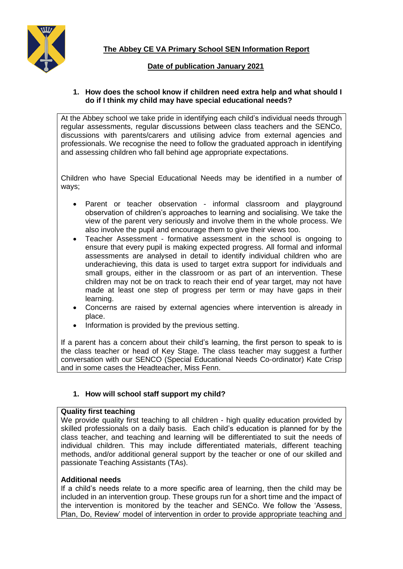

# **Date of publication January 2021**

## **1. How does the school know if children need extra help and what should I do if I think my child may have special educational needs?**

At the Abbey school we take pride in identifying each child's individual needs through regular assessments, regular discussions between class teachers and the SENCo, discussions with parents/carers and utilising advice from external agencies and professionals. We recognise the need to follow the graduated approach in identifying and assessing children who fall behind age appropriate expectations.

Children who have Special Educational Needs may be identified in a number of ways;

- Parent or teacher observation informal classroom and playground observation of children's approaches to learning and socialising. We take the view of the parent very seriously and involve them in the whole process. We also involve the pupil and encourage them to give their views too.
- Teacher Assessment formative assessment in the school is ongoing to ensure that every pupil is making expected progress. All formal and informal assessments are analysed in detail to identify individual children who are underachieving, this data is used to target extra support for individuals and small groups, either in the classroom or as part of an intervention. These children may not be on track to reach their end of year target, may not have made at least one step of progress per term or may have gaps in their learning.
- Concerns are raised by external agencies where intervention is already in place.
- Information is provided by the previous setting.

If a parent has a concern about their child's learning, the first person to speak to is the class teacher or head of Key Stage. The class teacher may suggest a further conversation with our SENCO (Special Educational Needs Co-ordinator) Kate Crisp and in some cases the Headteacher, Miss Fenn.

# **1. How will school staff support my child?**

### **Quality first teaching**

We provide quality first teaching to all children - high quality education provided by skilled professionals on a daily basis. Each child's education is planned for by the class teacher, and teaching and learning will be differentiated to suit the needs of individual children. This may include differentiated materials, different teaching methods, and/or additional general support by the teacher or one of our skilled and passionate Teaching Assistants (TAs).

### **Additional needs**

If a child's needs relate to a more specific area of learning, then the child may be included in an intervention group. These groups run for a short time and the impact of the intervention is monitored by the teacher and SENCo. We follow the 'Assess, Plan, Do, Review' model of intervention in order to provide appropriate teaching and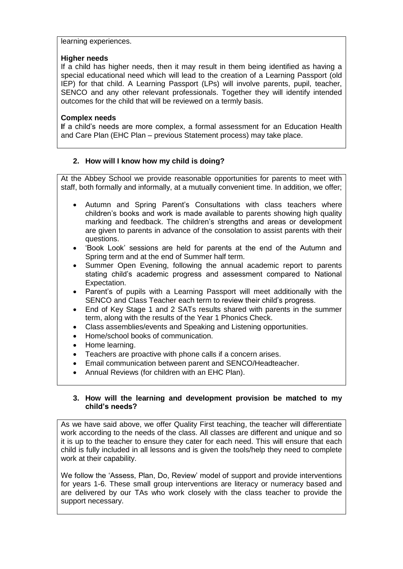## learning experiences.

#### **Higher needs**

If a child has higher needs, then it may result in them being identified as having a special educational need which will lead to the creation of a Learning Passport (old IEP) for that child. A Learning Passport (LPs) will involve parents, pupil, teacher, SENCO and any other relevant professionals. Together they will identify intended outcomes for the child that will be reviewed on a termly basis.

### **Complex needs**

**I**f a child's needs are more complex, a formal assessment for an Education Health and Care Plan (EHC Plan – previous Statement process) may take place.

### **2. How will I know how my child is doing?**

At the Abbey School we provide reasonable opportunities for parents to meet with staff, both formally and informally, at a mutually convenient time. In addition, we offer;

- Autumn and Spring Parent's Consultations with class teachers where children's books and work is made available to parents showing high quality marking and feedback. The children's strengths and areas or development are given to parents in advance of the consolation to assist parents with their questions.
- 'Book Look' sessions are held for parents at the end of the Autumn and Spring term and at the end of Summer half term.
- Summer Open Evening, following the annual academic report to parents stating child's academic progress and assessment compared to National Expectation.
- Parent's of pupils with a Learning Passport will meet additionally with the SENCO and Class Teacher each term to review their child's progress.
- End of Key Stage 1 and 2 SATs results shared with parents in the summer term, along with the results of the Year 1 Phonics Check.
- Class assemblies/events and Speaking and Listening opportunities.
- Home/school books of communication.
- Home learning.
- Teachers are proactive with phone calls if a concern arises.
- Email communication between parent and SENCO/Headteacher.
- Annual Reviews (for children with an EHC Plan).

### **3. How will the learning and development provision be matched to my child's needs?**

As we have said above, we offer Quality First teaching, the teacher will differentiate work according to the needs of the class. All classes are different and unique and so it is up to the teacher to ensure they cater for each need. This will ensure that each child is fully included in all lessons and is given the tools/help they need to complete work at their capability.

We follow the 'Assess, Plan, Do, Review' model of support and provide interventions for years 1-6. These small group interventions are literacy or numeracy based and are delivered by our TAs who work closely with the class teacher to provide the support necessary.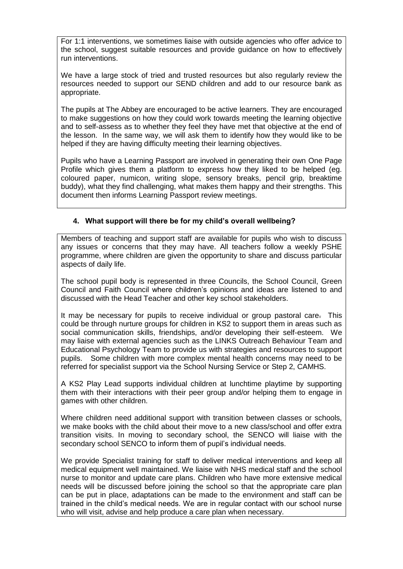For 1:1 interventions, we sometimes liaise with outside agencies who offer advice to the school, suggest suitable resources and provide guidance on how to effectively run interventions.

We have a large stock of tried and trusted resources but also regularly review the resources needed to support our SEND children and add to our resource bank as appropriate.

The pupils at The Abbey are encouraged to be active learners. They are encouraged to make suggestions on how they could work towards meeting the learning objective and to self-assess as to whether they feel they have met that objective at the end of the lesson. In the same way, we will ask them to identify how they would like to be helped if they are having difficulty meeting their learning objectives.

Pupils who have a Learning Passport are involved in generating their own One Page Profile which gives them a platform to express how they liked to be helped (eg. coloured paper, numicon, writing slope, sensory breaks, pencil grip, breaktime buddy), what they find challenging, what makes them happy and their strengths. This document then informs Learning Passport review meetings.

# **4. What support will there be for my child's overall wellbeing?**

Members of teaching and support staff are available for pupils who wish to discuss any issues or concerns that they may have. All teachers follow a weekly PSHE programme, where children are given the opportunity to share and discuss particular aspects of daily life.

The school pupil body is represented in three Councils, the School Council, Green Council and Faith Council where children's opinions and ideas are listened to and discussed with the Head Teacher and other key school stakeholders.

It may be necessary for pupils to receive individual or group pastoral care. This could be through nurture groups for children in KS2 to support them in areas such as social communication skills, friendships, and/or developing their self-esteem. We may liaise with external agencies such as the LINKS Outreach Behaviour Team and Educational Psychology Team to provide us with strategies and resources to support pupils. Some children with more complex mental health concerns may need to be referred for specialist support via the School Nursing Service or Step 2, CAMHS.

A KS2 Play Lead supports individual children at lunchtime playtime by supporting them with their interactions with their peer group and/or helping them to engage in games with other children.

Where children need additional support with transition between classes or schools, we make books with the child about their move to a new class/school and offer extra transition visits. In moving to secondary school, the SENCO will liaise with the secondary school SENCO to inform them of pupil's individual needs.

We provide Specialist training for staff to deliver medical interventions and keep all medical equipment well maintained. We liaise with NHS medical staff and the school nurse to monitor and update care plans. Children who have more extensive medical needs will be discussed before joining the school so that the appropriate care plan can be put in place, adaptations can be made to the environment and staff can be trained in the child's medical needs. We are in regular contact with our school nurse who will visit, advise and help produce a care plan when necessary.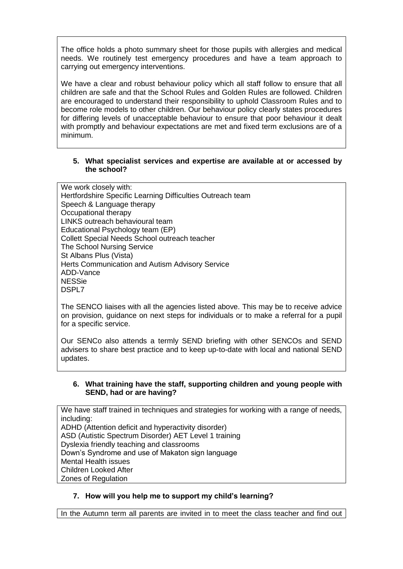The office holds a photo summary sheet for those pupils with allergies and medical needs. We routinely test emergency procedures and have a team approach to carrying out emergency interventions.

We have a clear and robust behaviour policy which all staff follow to ensure that all children are safe and that the School Rules and Golden Rules are followed. Children are encouraged to understand their responsibility to uphold Classroom Rules and to become role models to other children. Our behaviour policy clearly states procedures for differing levels of unacceptable behaviour to ensure that poor behaviour it dealt with promptly and behaviour expectations are met and fixed term exclusions are of a minimum.

#### **5. What specialist services and expertise are available at or accessed by the school?**

We work closely with: Hertfordshire Specific Learning Difficulties Outreach team Speech & Language therapy Occupational therapy LINKS outreach behavioural team Educational Psychology team (EP) Collett Special Needs School outreach teacher The School Nursing Service St Albans Plus (Vista) Herts Communication and Autism Advisory Service ADD-Vance NESSie DSPL7

The SENCO liaises with all the agencies listed above. This may be to receive advice on provision, guidance on next steps for individuals or to make a referral for a pupil for a specific service.

Our SENCo also attends a termly SEND briefing with other SENCOs and SEND advisers to share best practice and to keep up-to-date with local and national SEND updates.

### **6. What training have the staff, supporting children and young people with SEND, had or are having?**

We have staff trained in techniques and strategies for working with a range of needs, including: ADHD (Attention deficit and hyperactivity disorder) ASD (Autistic Spectrum Disorder) AET Level 1 training Dyslexia friendly teaching and classrooms Down's Syndrome and use of Makaton sign language Mental Health issues Children Looked After Zones of Regulation

# **7. How will you help me to support my child's learning?**

In the Autumn term all parents are invited in to meet the class teacher and find out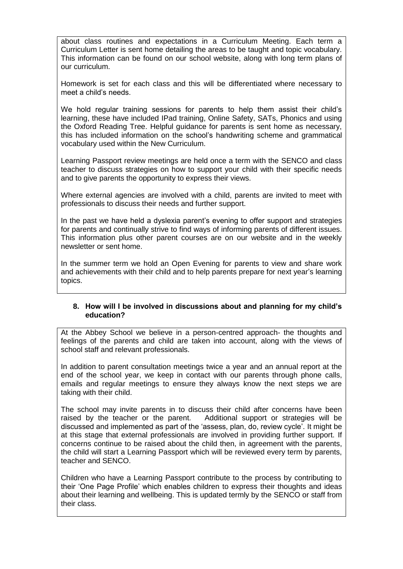about class routines and expectations in a Curriculum Meeting. Each term a Curriculum Letter is sent home detailing the areas to be taught and topic vocabulary. This information can be found on our school website, along with long term plans of our curriculum.

Homework is set for each class and this will be differentiated where necessary to meet a child's needs.

We hold regular training sessions for parents to help them assist their child's learning, these have included IPad training, Online Safety, SATs, Phonics and using the Oxford Reading Tree. Helpful guidance for parents is sent home as necessary, this has included information on the school's handwriting scheme and grammatical vocabulary used within the New Curriculum.

Learning Passport review meetings are held once a term with the SENCO and class teacher to discuss strategies on how to support your child with their specific needs and to give parents the opportunity to express their views.

Where external agencies are involved with a child, parents are invited to meet with professionals to discuss their needs and further support.

In the past we have held a dyslexia parent's evening to offer support and strategies for parents and continually strive to find ways of informing parents of different issues. This information plus other parent courses are on our website and in the weekly newsletter or sent home.

In the summer term we hold an Open Evening for parents to view and share work and achievements with their child and to help parents prepare for next year's learning topics.

### **8. How will I be involved in discussions about and planning for my child's education?**

At the Abbey School we believe in a person-centred approach- the thoughts and feelings of the parents and child are taken into account, along with the views of school staff and relevant professionals.

In addition to parent consultation meetings twice a year and an annual report at the end of the school year, we keep in contact with our parents through phone calls, emails and regular meetings to ensure they always know the next steps we are taking with their child.

The school may invite parents in to discuss their child after concerns have been raised by the teacher or the parent. Additional support or strategies will be discussed and implemented as part of the 'assess, plan, do, review cycle'. It might be at this stage that external professionals are involved in providing further support. If concerns continue to be raised about the child then, in agreement with the parents, the child will start a Learning Passport which will be reviewed every term by parents, teacher and SENCO.

Children who have a Learning Passport contribute to the process by contributing to their 'One Page Profile' which enables children to express their thoughts and ideas about their learning and wellbeing. This is updated termly by the SENCO or staff from their class.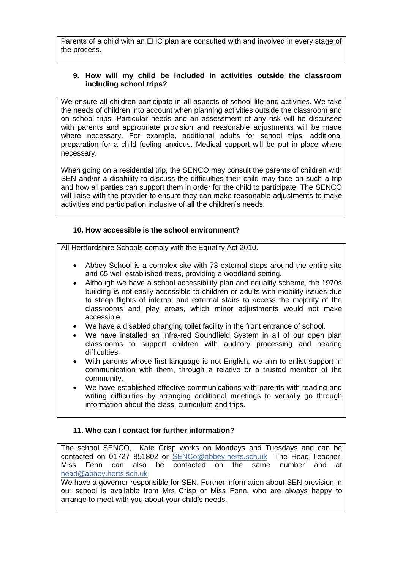Parents of a child with an EHC plan are consulted with and involved in every stage of the process.

## **9. How will my child be included in activities outside the classroom including school trips?**

We ensure all children participate in all aspects of school life and activities. We take the needs of children into account when planning activities outside the classroom and on school trips. Particular needs and an assessment of any risk will be discussed with parents and appropriate provision and reasonable adjustments will be made where necessary. For example, additional adults for school trips, additional preparation for a child feeling anxious. Medical support will be put in place where necessary.

When going on a residential trip, the SENCO may consult the parents of children with SEN and/or a disability to discuss the difficulties their child may face on such a trip and how all parties can support them in order for the child to participate. The SENCO will liaise with the provider to ensure they can make reasonable adjustments to make activities and participation inclusive of all the children's needs.

### **10. How accessible is the school environment?**

All Hertfordshire Schools comply with the Equality Act 2010.

- Abbey School is a complex site with 73 external steps around the entire site and 65 well established trees, providing a woodland setting.
- Although we have a school accessibility plan and equality scheme, the 1970s building is not easily accessible to children or adults with mobility issues due to steep flights of internal and external stairs to access the majority of the classrooms and play areas, which minor adjustments would not make accessible.
- We have a disabled changing toilet facility in the front entrance of school.
- We have installed an infra-red Soundfield System in all of our open plan classrooms to support children with auditory processing and hearing difficulties.
- With parents whose first language is not English, we aim to enlist support in communication with them, through a relative or a trusted member of the community.
- We have established effective communications with parents with reading and writing difficulties by arranging additional meetings to verbally go through information about the class, curriculum and trips.

### **11. Who can I contact for further information?**

The school SENCO, Kate Crisp works on Mondays and Tuesdays and can be contacted on 01727 851802 or [SENCo@abbey.herts.sch.uk](mailto:senco@abbey.herts.sch.uk) The Head Teacher, Miss Fenn can also be contacted on the same number and at [head@abbey.herts.sch.uk](mailto:head@abbey.herts.sch.uk)

We have a governor responsible for SEN. Further information about SEN provision in our school is available from Mrs Crisp or Miss Fenn, who are always happy to arrange to meet with you about your child's needs.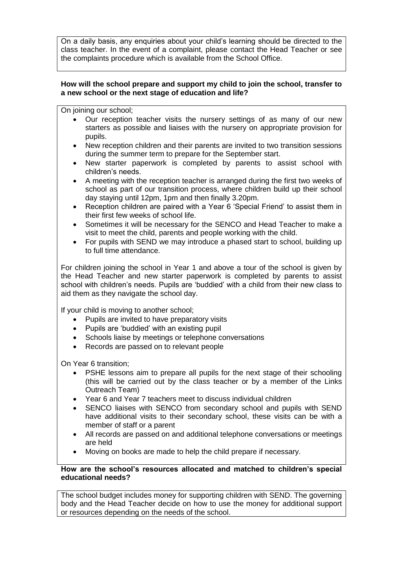On a daily basis, any enquiries about your child's learning should be directed to the class teacher. In the event of a complaint, please contact the Head Teacher or see the complaints procedure which is available from the School Office.

## **How will the school prepare and support my child to join the school, transfer to a new school or the next stage of education and life?**

On joining our school;

- Our reception teacher visits the nursery settings of as many of our new starters as possible and liaises with the nursery on appropriate provision for pupils.
- New reception children and their parents are invited to two transition sessions during the summer term to prepare for the September start.
- New starter paperwork is completed by parents to assist school with children's needs.
- A meeting with the reception teacher is arranged during the first two weeks of school as part of our transition process, where children build up their school day staying until 12pm, 1pm and then finally 3.20pm.
- Reception children are paired with a Year 6 'Special Friend' to assist them in their first few weeks of school life.
- Sometimes it will be necessary for the SENCO and Head Teacher to make a visit to meet the child, parents and people working with the child.
- For pupils with SEND we may introduce a phased start to school, building up to full time attendance.

For children joining the school in Year 1 and above a tour of the school is given by the Head Teacher and new starter paperwork is completed by parents to assist school with children's needs. Pupils are 'buddied' with a child from their new class to aid them as they navigate the school day.

If your child is moving to another school;

- Pupils are invited to have preparatory visits
- Pupils are 'buddied' with an existing pupil
- Schools liaise by meetings or telephone conversations
- Records are passed on to relevant people

On Year 6 transition;

- PSHE lessons aim to prepare all pupils for the next stage of their schooling (this will be carried out by the class teacher or by a member of the Links Outreach Team)
- Year 6 and Year 7 teachers meet to discuss individual children
- SENCO liaises with SENCO from secondary school and pupils with SEND have additional visits to their secondary school, these visits can be with a member of staff or a parent
- All records are passed on and additional telephone conversations or meetings are held
- Moving on books are made to help the child prepare if necessary.

## **How are the school's resources allocated and matched to children's special educational needs?**

The school budget includes money for supporting children with SEND. The governing body and the Head Teacher decide on how to use the money for additional support or resources depending on the needs of the school.